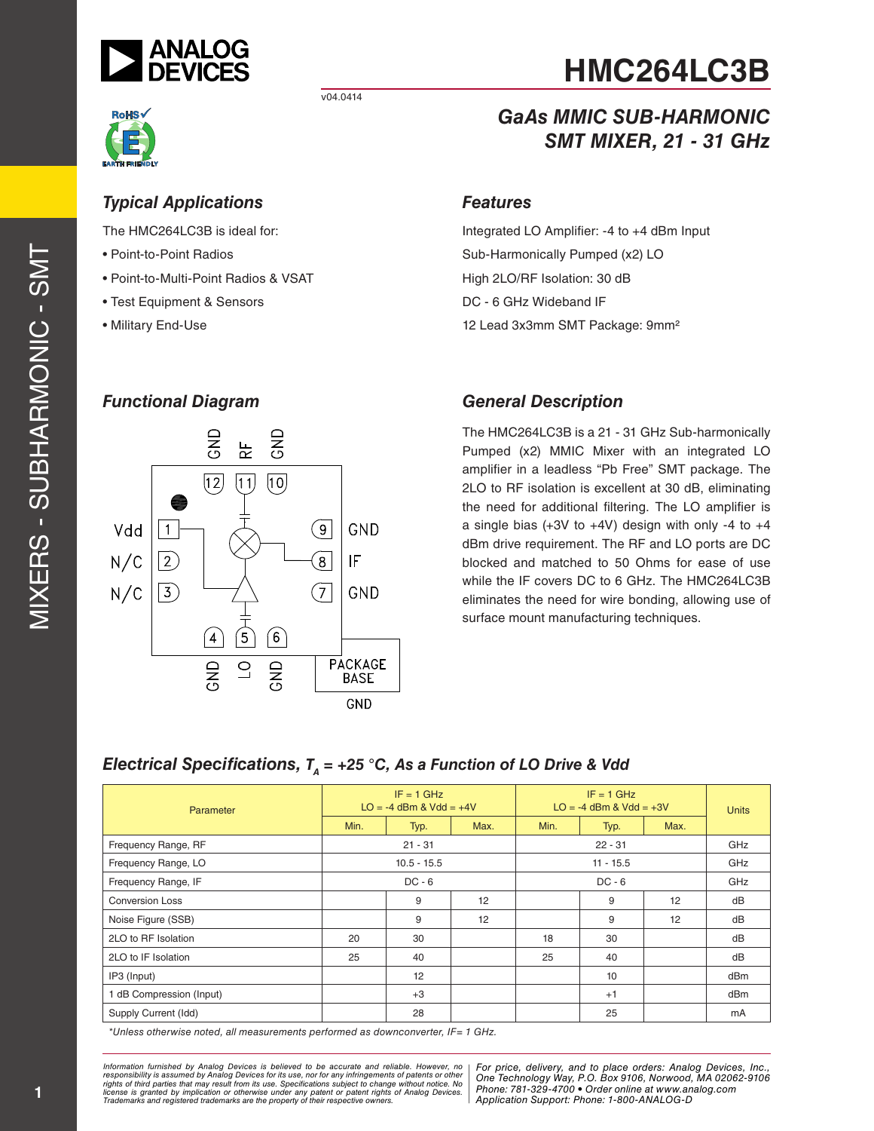

*Typical Applications* The HMC264LC3B is ideal for:

• Test Equipment & Sensors

• Point-to-Multi-Point Radios & VSAT

• Point-to-Point Radios

• Military End-Use

v04.0414



# **HMC264LC3B**

#### *GaAs MMIC SUB-HARMONIC SMT MIXER, 21 - 31 GHz*

#### *Features*

Integrated LO Amplifier: -4 to +4 dBm Input Sub-Harmonically Pumped (x2) LO High 2LO/RF Isolation: 30 dB DC - 6 GHz Wideband IF 12 Lead 3x3mm SMT Package: 9mm²

#### *Functional Diagram*



#### *General Description*

The HMC264LC3B is a 21 - 31 GHz Sub-harmonically Pumped (x2) MMIC Mixer with an integrated LO amplifier in a leadless "Pb Free" SMT package. The 2LO to RF isolation is excellent at 30 dB, eliminating the need for additional filtering. The LO amplifier is a single bias  $(+3V$  to  $+4V)$  design with only -4 to  $+4$ dBm drive requirement. The RF and LO ports are DC blocked and matched to 50 Ohms for ease of use while the IF covers DC to 6 GHz. The HMC264LC3B eliminates the need for wire bonding, allowing use of surface mount manufacturing techniques.

#### *Electrical Specifications, TA = +25 °C, As a Function of LO Drive & Vdd*

| Parameter                | $IF = 1 GHz$<br>$LO = -4$ dBm & Vdd = $+4V$ |           |             | $IF = 1 GHz$<br>$LO = -4$ dBm & Vdd = $+3V$ |           |      | <b>Units</b> |
|--------------------------|---------------------------------------------|-----------|-------------|---------------------------------------------|-----------|------|--------------|
|                          | Min.                                        | Typ.      | Max.        | Min.                                        | Typ.      | Max. |              |
| Frequency Range, RF      |                                             | $21 - 31$ |             |                                             | $22 - 31$ |      | GHz          |
| Frequency Range, LO      | $10.5 - 15.5$                               |           | $11 - 15.5$ |                                             |           | GHz  |              |
| Frequency Range, IF      | $DC - 6$                                    |           | $DC - 6$    |                                             |           | GHz  |              |
| Conversion Loss          |                                             | 9         | 12          |                                             | 9         | 12   | dB           |
| Noise Figure (SSB)       |                                             | 9         | 12          |                                             | 9         | 12   | dB           |
| 2LO to RF Isolation      | 20                                          | 30        |             | 18                                          | 30        |      | dB           |
| 2LO to IF Isolation      | 25                                          | 40        |             | 25                                          | 40        |      | dB           |
| IP3 (Input)              |                                             | 12        |             |                                             | 10        |      | dBm          |
| 1 dB Compression (Input) |                                             | $+3$      |             |                                             | $+1$      |      | dBm          |
| Supply Current (Idd)     |                                             | 28        |             |                                             | 25        |      | mA           |

*\*Unless otherwise noted, all measurements performed as downconverter, IF= 1 GHz.*

*Formation iurnished by Analog Devices is believed to be accurate and reliable. However, no Hor price, delivery, and to place orders: Analog Devices, In<br>roonsibility is assumed by Analog Devices for its use, nor for any pressult from its use. Specifications subject to change without notice. No*<br>ation or otherwise under any patent or patent rights of Analog Devices Phone: 781-329-4700 • Order online at ww *e* the property of their respective owners. **Application Support: Phone: 1-8** *Information furnished by Analog Devices is believed to be accurate and reliable. However, no*  responsibility is assumed by Analog Devices for its use, nor for any infringements of patents or other<br>rights of third parties that may result from its use. Specifications subject to change without notice. No<br>license is gr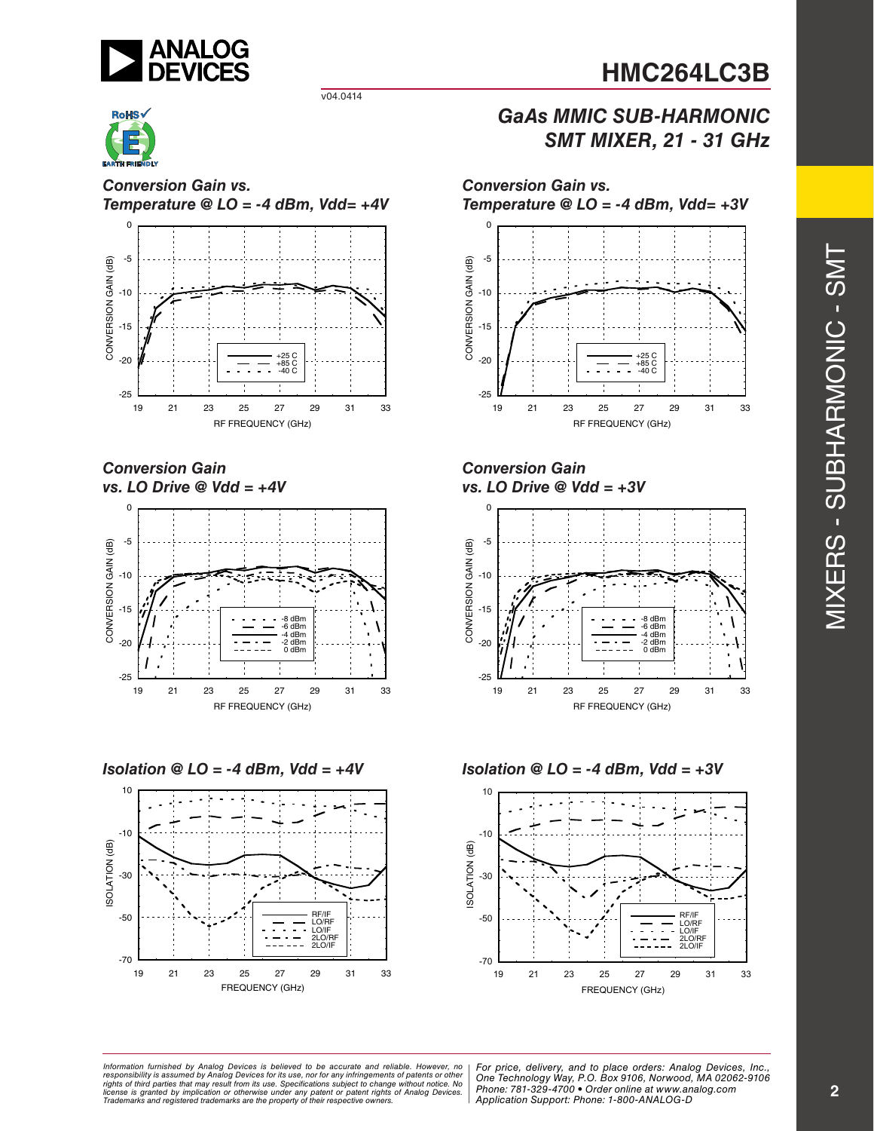

#### v04.0414



*Conversion Gain vs. Temperature @ LO = -4 dBm, Vdd= +4V*



*Conversion Gain vs. LO Drive @ Vdd = +4V*









*Conversion Gain vs. LO Drive @ Vdd = +3V*

*Conversion Gain vs.*



*Isolation @ LO = -4 dBm, Vdd = +4V Isolation @ LO = -4 dBm, Vdd = +3V*



ormation furnished by Analog Devices is believed to be accurate and reliable. However, no | For price, delivery, and to place orders: Analog Devices, Inc.,<br>popsibility is assumed by Analog Devices for its use, not for any *pressult from its use. Specifications subject to change without notice. No*<br>ation or otherwise under any patent or patent rights of Analog Devices Phone: 781-329-4700 • Order online at ww *e* the property of their respective owners. **Application Support: Phone: 1-8** *Information furnished by Analog Devices is believed to be accurate and reliable. However, no*  responsibility is assumed by Analog Devices for its use, nor for any infringements of patents or other<br>rights of third parties that may result from its use. Specifications subject to change without notice. No<br>license is gr

*Phone: 781-329-4700 • Order online at www.analog.com Application Support: Phone: 1-800-ANALOG-D*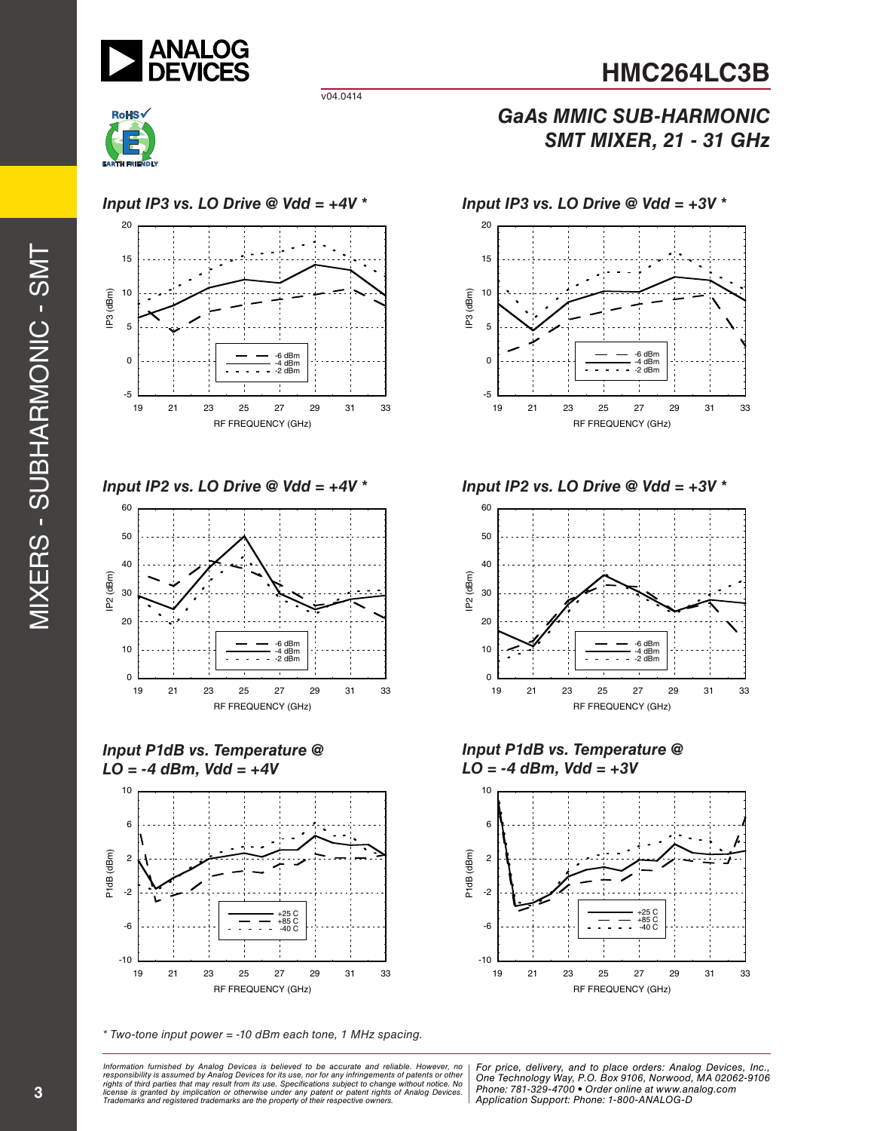

#### *GaAs MMIC SUB-HARMONIC SMT MIXER, 21 - 31 GHz*



*Input IP3 vs. LO Drive @ Vdd = +4V \* Input IP3 vs. LO Drive @ Vdd = +3V \**

v04.0414





*Input P1dB vs. Temperature @ LO = -4 dBm, Vdd = +4V*



*\* Two-tone input power = -10 dBm each tone, 1 MHz spacing.*

ormation furnished by Analog Devices is believed to be accurate and reliable. However, no | For price, delivery, and to place orders: Analog Devices, Inc.,<br>popsibility is assumed by Analog Devices for its use, not for any *pressult from its use. Specifications subject to change without notice. No*<br>ation or otherwise under any patent or patent rights of Analog Devices Phone: 781-329-4700 • Order online at ww *e* the property of their respective owners. **Application Support: Phone: 1-8** *Information furnished by Analog Devices is believed to be accurate and reliable. However, no*  responsibility is assumed by Analog Devices for its use, nor for any infringements of patents or other<br>rights of third parties that may result from its use. Specifications subject to change without notice. No<br>license is gr



*Input IP2 vs. LO Drive @ Vdd = +4V \* Input IP2 vs. LO Drive @ Vdd = +3V \**



*Input P1dB vs. Temperature @ LO = -4 dBm, Vdd = +3V*



*Phone: 781-329-4700 • Order online at www.analog.com Application Support: Phone: 1-800-ANALOG-D*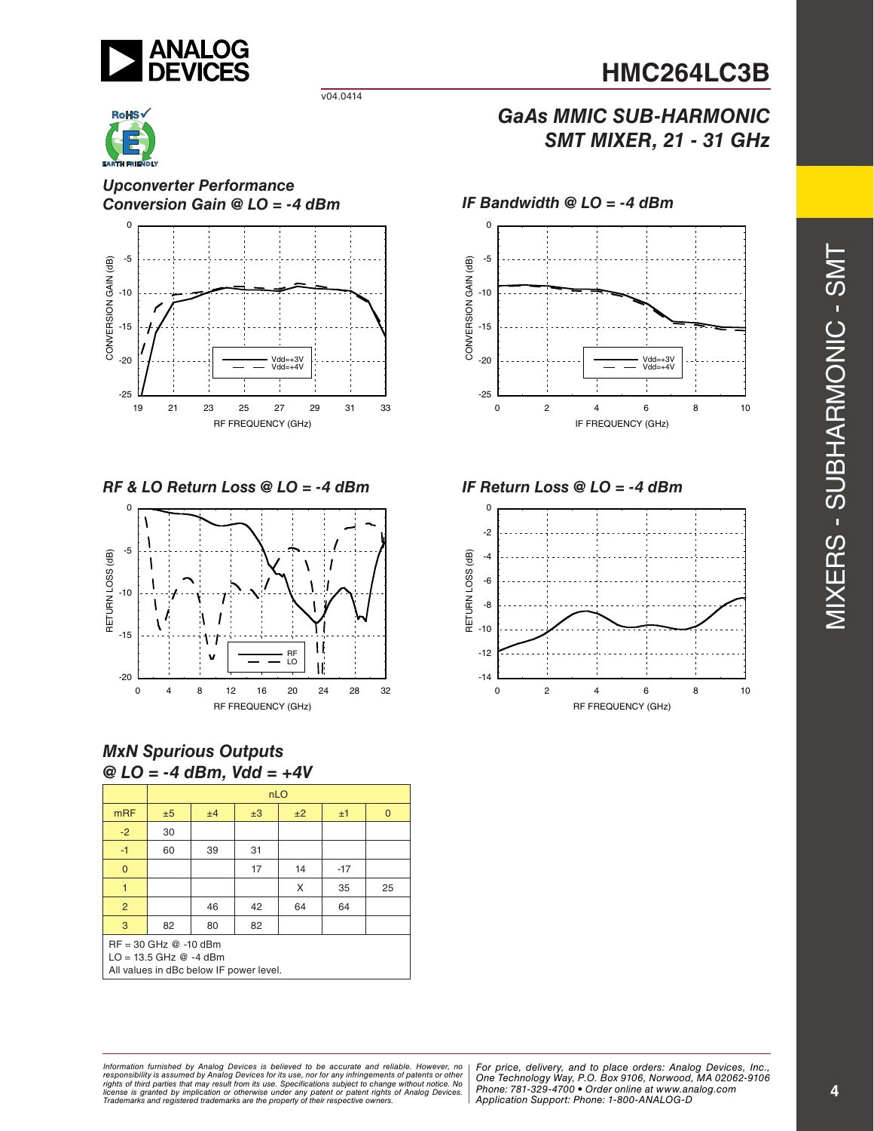

#### *GaAs MMIC SUB-HARMONIC SMT MIXER, 21 - 31 GHz*



*Upconverter Performance Conversion Gain @ LO = -4 dBm IF Bandwidth @ LO = -4 dBm*



v04.0414

*RF & LO Return Loss @ LO = -4 dBm IF Return Loss @ LO = -4 dBm*



#### *MxN Spurious Outputs @ LO = -4 dBm, Vdd = +4V*

|                                                                                                    | nLO |    |    |    |       |              |
|----------------------------------------------------------------------------------------------------|-----|----|----|----|-------|--------------|
| <b>mRF</b>                                                                                         | ±5  | ±4 | ±3 | ±2 | ±1    | $\mathbf{0}$ |
| $-2$                                                                                               | 30  |    |    |    |       |              |
| $-1$                                                                                               | 60  | 39 | 31 |    |       |              |
| $\mathbf{0}$                                                                                       |     |    | 17 | 14 | $-17$ |              |
|                                                                                                    |     |    |    | X  | 35    | 25           |
| 2                                                                                                  |     | 46 | 42 | 64 | 64    |              |
| 3                                                                                                  | 82  | 80 | 82 |    |       |              |
| $RF = 30$ GHz $@ -10$ dBm<br>$LO = 13.5$ GHz $@ -4$ dBm<br>All values in dBc below IF power level. |     |    |    |    |       |              |





ormation furnished by Analog Devices is believed to be accurate and reliable. However, no | For price, delivery, and to place orders: Analog Devices, Inc.,<br>popsibility is assumed by Analog Devices for its use, not for any *pressult from its use. Specifications subject to change without notice. No*<br>ation or otherwise under any patent or patent rights of Analog Devices Phone: 781-329-4700 • Order online at ww *e* the property of their respective owners. **Application Support: Phone: 1-8** *Information furnished by Analog Devices is believed to be accurate and reliable. However, no*  responsibility is assumed by Analog Devices for its use, nor for any infringements of patents or other<br>rights of third parties that may result from its use. Specifications subject to change without notice. No<br>license is gr

*Phone: 781-329-4700 • Order online at www.analog.com Application Support: Phone: 1-800-ANALOG-D*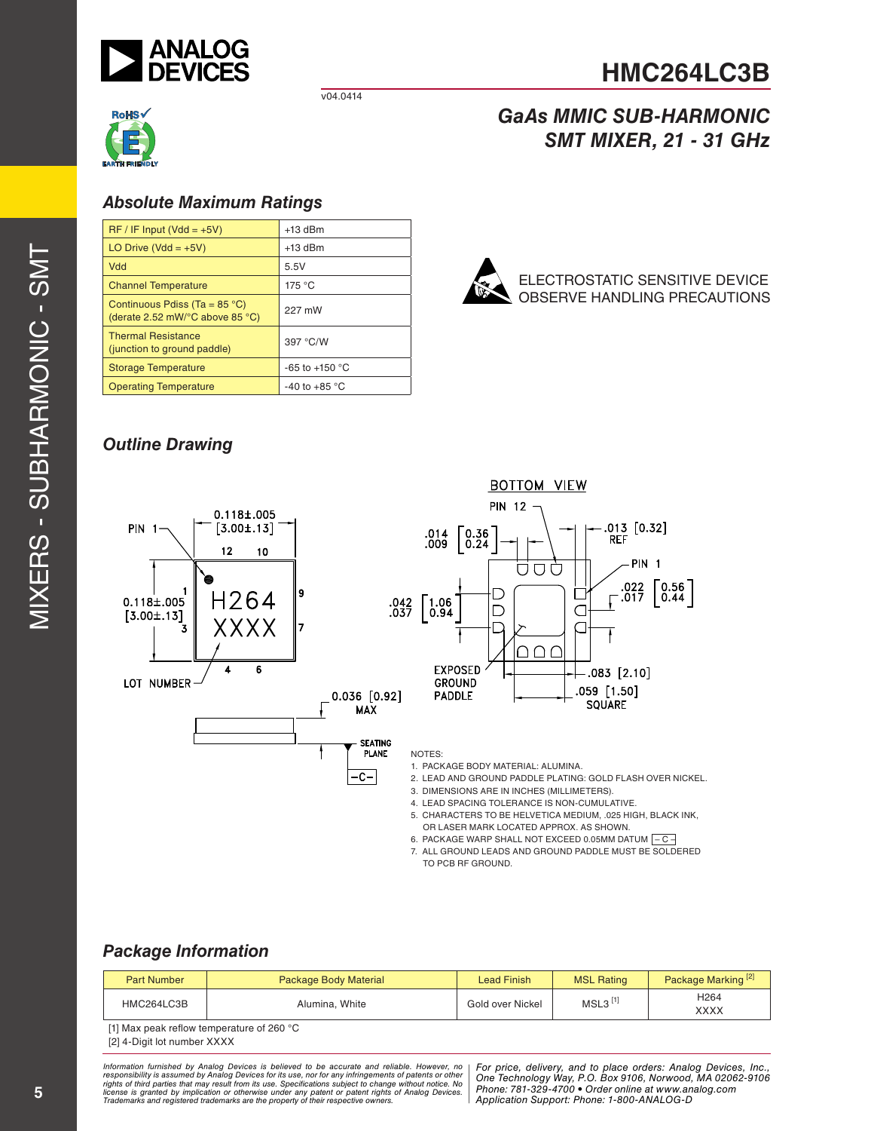

v04.0414



#### *Absolute Maximum Ratings*

| $RF / IF Input (Vdd = +5V)$                                                                  | $+13$ dBm                |
|----------------------------------------------------------------------------------------------|--------------------------|
| LO Drive (Vdd = $+5V$ )                                                                      | $+13$ dBm                |
| Vdd                                                                                          | 5.5V                     |
| <b>Channel Temperature</b>                                                                   | 175 °C                   |
| Continuous Pdiss (Ta = $85^{\circ}$ C)<br>(derate 2.52 mW/ $\degree$ C above 85 $\degree$ C) | 227 mW                   |
| <b>Thermal Resistance</b><br>(junction to ground paddle)                                     | 397 °C/W                 |
| <b>Storage Temperature</b>                                                                   | -65 to +150 $^{\circ}$ C |
| <b>Operating Temperature</b>                                                                 | -40 to +85 $^{\circ}$ C  |



#### *Outline Drawing*



6. PACKAGE WARP SHALL NOT EXCEED 0.05MM DATUM  $-$  C – 7. ALL GROUND LEADS AND GROUND PADDLE MUST BE SOLDERED TO PCB RF GROUND.

#### *Package Information*

| <b>Part Number</b> | Package Body Material | Lead Finish      | <b>MSL Rating</b>     | Package Marking <sup>[2]</sup> |
|--------------------|-----------------------|------------------|-----------------------|--------------------------------|
| HMC264LC3B         | Alumina, White        | Gold over Nickel | $MSL3$ <sup>[1]</sup> | H <sub>264</sub><br>XXXX       |
|                    |                       |                  |                       |                                |

[1] Max peak reflow temperature of 260 °C

[2] 4-Digit lot number XXXX

ormation furnished by Analog Devices is believed to be accurate and reliable. However, no | For price, delivery, and to place orders: Analog Devices, Inc.,<br>popsibility is assumed by Analog Devices for its use, not for any *pressult from its use. Specifications subject to change without notice. No*<br>ation or otherwise under any patent or patent rights of Analog Devices Phone: 781-329-4700 • Order online at ww *e* the property of their respective owners. **Application Support: Phone: 1-8** *Information furnished by Analog Devices is believed to be accurate and reliable. However, no*  responsibility is assumed by Analog Devices for its use, nor for any infringements of patents or other<br>rights of third parties that may result from its use. Specifications subject to change without notice. No<br>license is gr

*Phone: 781-329-4700 • Order online at www.analog.com Application Support: Phone: 1-800-ANALOG-D*

# **HMC264LC3B**

## *GaAs MMIC SUB-HARMONIC SMT MIXER, 21 - 31 GHz*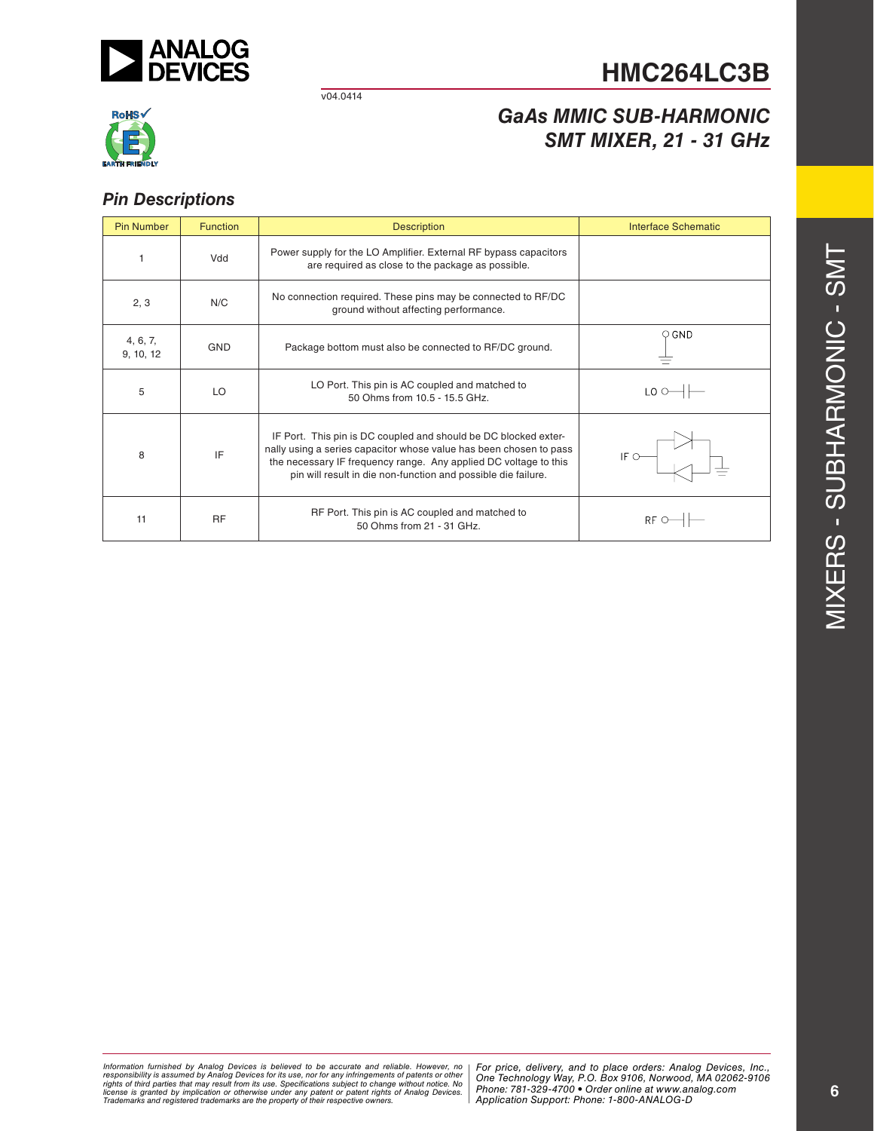

#### v04.0414



#### *GaAs MMIC SUB-HARMONIC SMT MIXER, 21 - 31 GHz*

#### *Pin Descriptions*

| <b>Pin Number</b>     | <b>Function</b> | <b>Description</b>                                                                                                                                                                                                                                                         | Interface Schematic              |  |
|-----------------------|-----------------|----------------------------------------------------------------------------------------------------------------------------------------------------------------------------------------------------------------------------------------------------------------------------|----------------------------------|--|
|                       | Vdd             | Power supply for the LO Amplifier. External RF bypass capacitors<br>are required as close to the package as possible.                                                                                                                                                      |                                  |  |
| 2, 3                  | N/C             | No connection required. These pins may be connected to RF/DC<br>ground without affecting performance.                                                                                                                                                                      |                                  |  |
| 4, 6, 7,<br>9, 10, 12 | <b>GND</b>      | Package bottom must also be connected to RF/DC ground.                                                                                                                                                                                                                     | O GND                            |  |
| 5                     | LO              | LO Port. This pin is AC coupled and matched to<br>50 Ohms from 10.5 - 15.5 GHz.                                                                                                                                                                                            | $LO \odot \rightarrow \vdash$    |  |
| 8                     | IF              | IF Port. This pin is DC coupled and should be DC blocked exter-<br>nally using a series capacitor whose value has been chosen to pass<br>the necessary IF frequency range. Any applied DC voltage to this<br>pin will result in die non-function and possible die failure. | IF $\circ$ —                     |  |
| 11                    | <b>RF</b>       | RF Port. This pin is AC coupled and matched to<br>50 Ohms from 21 - 31 GHz.                                                                                                                                                                                                | $RF$ $\rightarrow$ $\rightarrow$ |  |

*Formation iurnished by Analog Devices is believed to be accurate and reliable. However, no Hor price, delivery, and to place orders: Analog Devices, In<br>roonsibility is assumed by Analog Devices for its use, nor for any pressult from its use. Specifications subject to change without notice. No*<br>ation or otherwise under any patent or patent rights of Analog Devices Phone: 781-329-4700 • Order online at ww *e* the property of their respective owners. **Application Support: Phone: 1-8** Information furnished by Analog Devices is believed to be accurate and reliable. However, no<br>responsibility is assumed by Analog Devices for its use, nor for any infringements of patents or other<br>rights of third parties th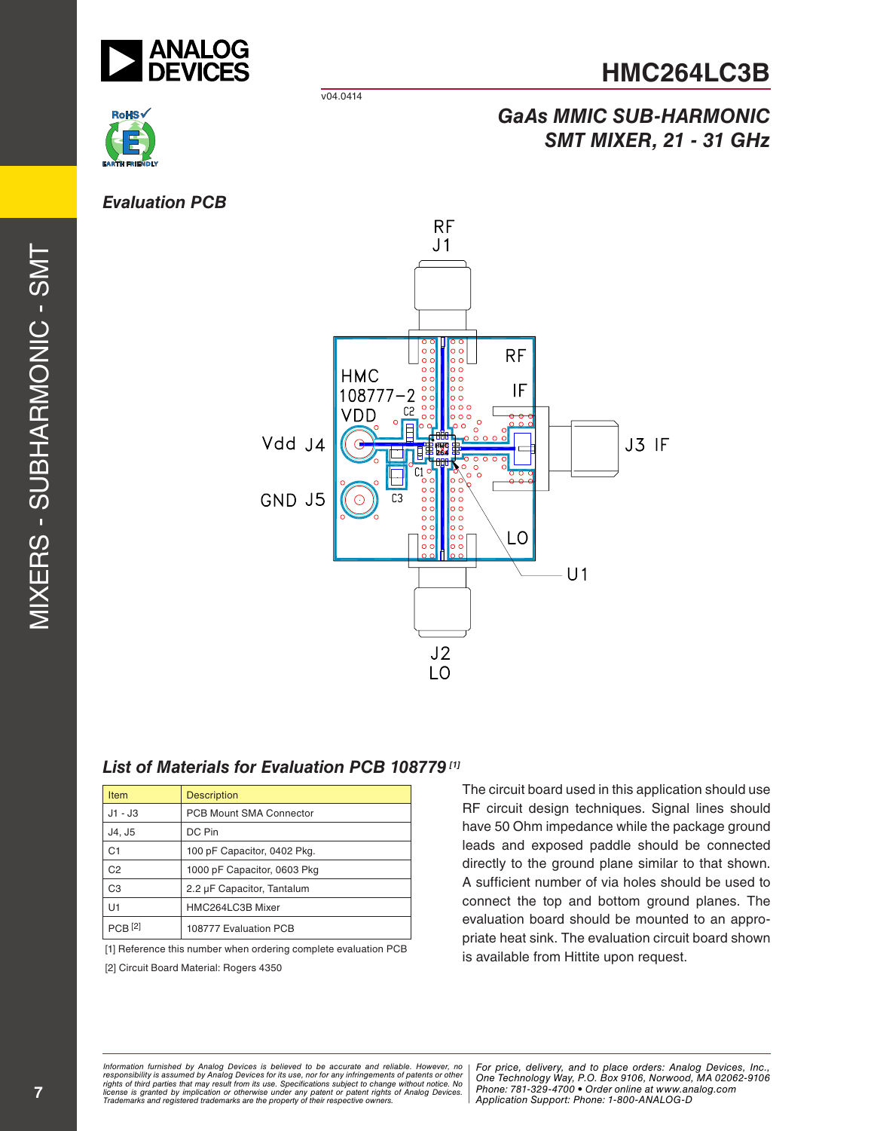

v04.0414



### *GaAs MMIC SUB-HARMONIC SMT MIXER, 21 - 31 GHz*



#### *List of Materials for Evaluation PCB 108779 [1]*

| <b>Item</b>        | <b>Description</b>             |
|--------------------|--------------------------------|
| $J1 - J3$          | <b>PCB Mount SMA Connector</b> |
| J4. J5             | DC Pin                         |
| C <sub>1</sub>     | 100 pF Capacitor, 0402 Pkg.    |
| C <sub>2</sub>     | 1000 pF Capacitor, 0603 Pkg    |
| C <sub>3</sub>     | 2.2 µF Capacitor, Tantalum     |
| U1                 | HMC264LC3B Mixer               |
| PCB <sub>[2]</sub> | 108777 Evaluation PCB          |

[1] Reference this number when ordering complete evaluation PCB

[2] Circuit Board Material: Rogers 4350

The circuit board used in this application should use RF circuit design techniques. Signal lines should have 50 Ohm impedance while the package ground leads and exposed paddle should be connected directly to the ground plane similar to that shown. A sufficient number of via holes should be used to connect the top and bottom ground planes. The evaluation board should be mounted to an appro priate heat sink. The evaluation circuit board shown is available from Hittite upon request.